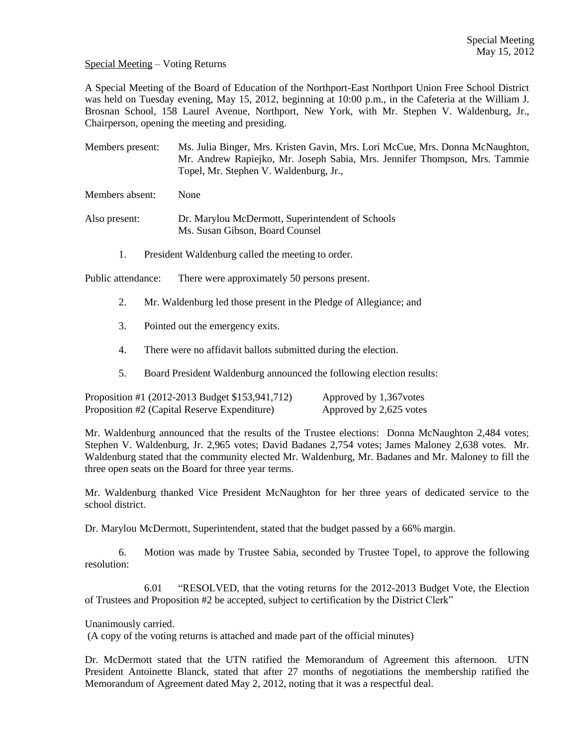Special Meeting – Voting Returns

A Special Meeting of the Board of Education of the Northport-East Northport Union Free School District was held on Tuesday evening, May 15, 2012, beginning at 10:00 p.m., in the Cafeteria at the William J. Brosnan School, 158 Laurel Avenue, Northport, New York, with Mr. Stephen V. Waldenburg, Jr., Chairperson, opening the meeting and presiding.

Members present: Ms. Julia Binger, Mrs. Kristen Gavin, Mrs. Lori McCue, Mrs. Donna McNaughton, Mr. Andrew Rapiejko, Mr. Joseph Sabia, Mrs. Jennifer Thompson, Mrs. Tammie Topel, Mr. Stephen V. Waldenburg, Jr.,

Members absent: None

- Also present: Dr. Marylou McDermott, Superintendent of Schools Ms. Susan Gibson, Board Counsel
	- 1. President Waldenburg called the meeting to order.

Public attendance: There were approximately 50 persons present.

- 2. Mr. Waldenburg led those present in the Pledge of Allegiance; and
- 3. Pointed out the emergency exits.
- 4. There were no affidavit ballots submitted during the election.
- 5. Board President Waldenburg announced the following election results:

| Proposition #1 (2012-2013 Budget \$153,941,712) | Approved by 1,367 votes |
|-------------------------------------------------|-------------------------|
| Proposition #2 (Capital Reserve Expenditure)    | Approved by 2,625 votes |

Mr. Waldenburg announced that the results of the Trustee elections: Donna McNaughton 2,484 votes; Stephen V. Waldenburg, Jr. 2,965 votes; David Badanes 2,754 votes; James Maloney 2,638 votes. Mr. Waldenburg stated that the community elected Mr. Waldenburg, Mr. Badanes and Mr. Maloney to fill the three open seats on the Board for three year terms.

Mr. Waldenburg thanked Vice President McNaughton for her three years of dedicated service to the school district.

Dr. Marylou McDermott, Superintendent, stated that the budget passed by a 66% margin.

6. Motion was made by Trustee Sabia, seconded by Trustee Topel, to approve the following resolution:

6.01 "RESOLVED, that the voting returns for the 2012-2013 Budget Vote, the Election of Trustees and Proposition #2 be accepted, subject to certification by the District Clerk"

Unanimously carried.

(A copy of the voting returns is attached and made part of the official minutes)

Dr. McDermott stated that the UTN ratified the Memorandum of Agreement this afternoon. UTN President Antoinette Blanck, stated that after 27 months of negotiations the membership ratified the Memorandum of Agreement dated May 2, 2012, noting that it was a respectful deal.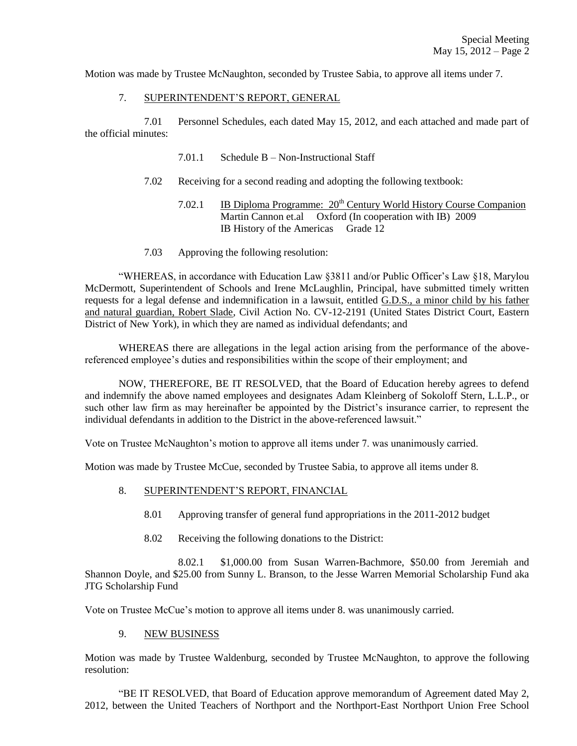Motion was made by Trustee McNaughton, seconded by Trustee Sabia, to approve all items under 7.

## 7. SUPERINTENDENT'S REPORT, GENERAL

7.01 Personnel Schedules, each dated May 15, 2012, and each attached and made part of the official minutes:

- 7.01.1 Schedule B Non-Instructional Staff
- 7.02 Receiving for a second reading and adopting the following textbook:
	- 7.02.1 IB Diploma Programme:  $20^{th}$  Century World History Course Companion Martin Cannon et.al Oxford (In cooperation with IB) 2009 IB History of the Americas Grade 12
- 7.03 Approving the following resolution:

"WHEREAS, in accordance with Education Law §3811 and/or Public Officer's Law §18, Marylou McDermott, Superintendent of Schools and Irene McLaughlin, Principal, have submitted timely written requests for a legal defense and indemnification in a lawsuit, entitled G.D.S., a minor child by his father and natural guardian, Robert Slade, Civil Action No. CV-12-2191 (United States District Court, Eastern District of New York), in which they are named as individual defendants; and

WHEREAS there are allegations in the legal action arising from the performance of the abovereferenced employee's duties and responsibilities within the scope of their employment; and

NOW, THEREFORE, BE IT RESOLVED, that the Board of Education hereby agrees to defend and indemnify the above named employees and designates Adam Kleinberg of Sokoloff Stern, L.L.P., or such other law firm as may hereinafter be appointed by the District's insurance carrier, to represent the individual defendants in addition to the District in the above-referenced lawsuit."

Vote on Trustee McNaughton's motion to approve all items under 7. was unanimously carried.

Motion was made by Trustee McCue, seconded by Trustee Sabia, to approve all items under 8.

- 8. SUPERINTENDENT'S REPORT, FINANCIAL
	- 8.01 Approving transfer of general fund appropriations in the 2011-2012 budget
	- 8.02 Receiving the following donations to the District:

8.02.1 \$1,000.00 from Susan Warren-Bachmore, \$50.00 from Jeremiah and Shannon Doyle, and \$25.00 from Sunny L. Branson, to the Jesse Warren Memorial Scholarship Fund aka JTG Scholarship Fund

Vote on Trustee McCue's motion to approve all items under 8. was unanimously carried.

## 9. NEW BUSINESS

Motion was made by Trustee Waldenburg, seconded by Trustee McNaughton, to approve the following resolution:

"BE IT RESOLVED, that Board of Education approve memorandum of Agreement dated May 2, 2012, between the United Teachers of Northport and the Northport-East Northport Union Free School